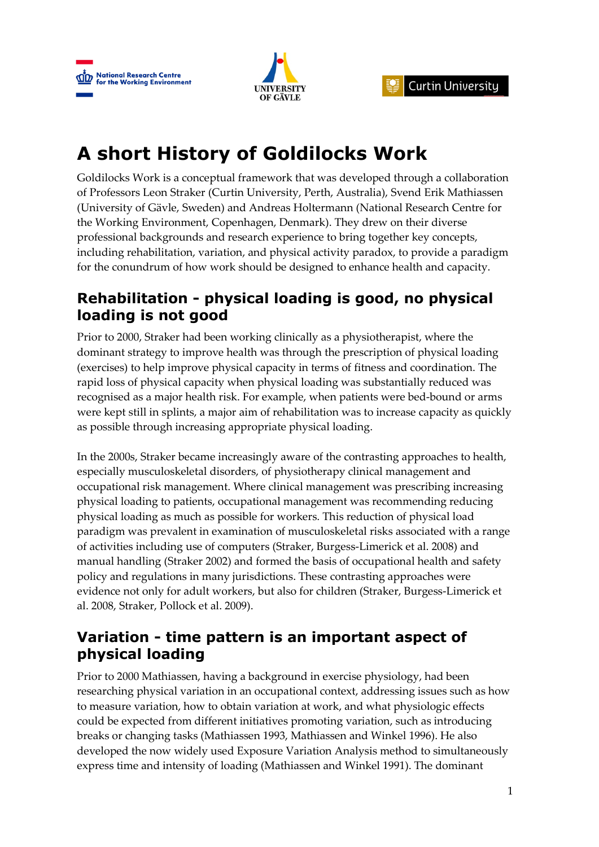



# **A short History of Goldilocks Work**

Goldilocks Work is a conceptual framework that was developed through a collaboration of Professors Leon Straker (Curtin University, Perth, Australia), Svend Erik Mathiassen (University of Gävle, Sweden) and Andreas Holtermann (National Research Centre for the Working Environment, Copenhagen, Denmark). They drew on their diverse professional backgrounds and research experience to bring together key concepts, including rehabilitation, variation, and physical activity paradox, to provide a paradigm for the conundrum of how work should be designed to enhance health and capacity.

#### **Rehabilitation - physical loading is good, no physical loading is not good**

Prior to 2000, Straker had been working clinically as a physiotherapist, where the dominant strategy to improve health was through the prescription of physical loading (exercises) to help improve physical capacity in terms of fitness and coordination. The rapid loss of physical capacity when physical loading was substantially reduced was recognised as a major health risk. For example, when patients were bed-bound or arms were kept still in splints, a major aim of rehabilitation was to increase capacity as quickly as possible through increasing appropriate physical loading.

In the 2000s, Straker became increasingly aware of the contrasting approaches to health, especially musculoskeletal disorders, of physiotherapy clinical management and occupational risk management. Where clinical management was prescribing increasing physical loading to patients, occupational management was recommending reducing physical loading as much as possible for workers. This reduction of physical load paradigm was prevalent in examination of musculoskeletal risks associated with a range of activities including use of computers (Straker, Burgess-Limerick et al. 2008) and manual handling (Straker 2002) and formed the basis of occupational health and safety policy and regulations in many jurisdictions. These contrasting approaches were evidence not only for adult workers, but also for children (Straker, Burgess-Limerick et al. 2008, Straker, Pollock et al. 2009).

#### **Variation - time pattern is an important aspect of physical loading**

Prior to 2000 Mathiassen, having a background in exercise physiology, had been researching physical variation in an occupational context, addressing issues such as how to measure variation, how to obtain variation at work, and what physiologic effects could be expected from different initiatives promoting variation, such as introducing breaks or changing tasks (Mathiassen 1993, Mathiassen and Winkel 1996). He also developed the now widely used Exposure Variation Analysis method to simultaneously express time and intensity of loading (Mathiassen and Winkel 1991). The dominant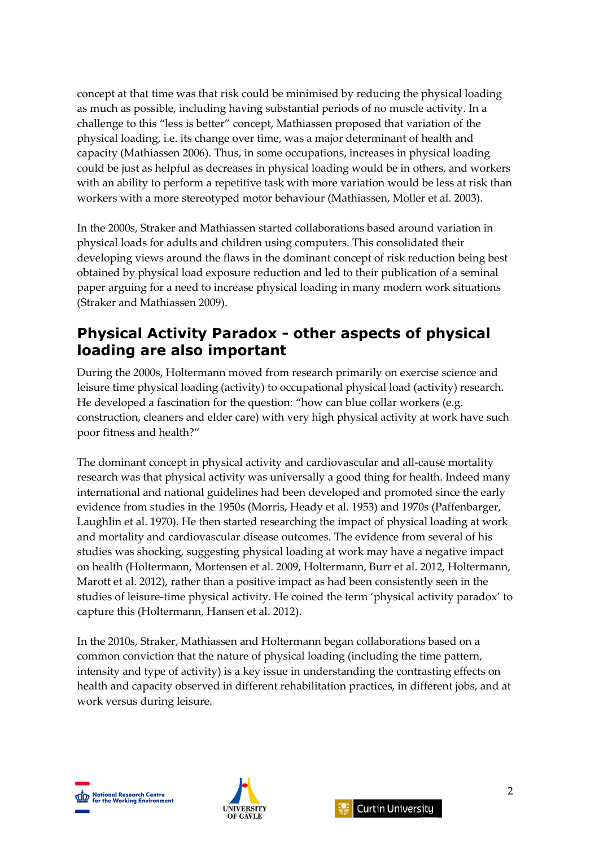concept at that time was that risk could be minimised by reducing the physical loading as much as possible, including having substantial periods of no muscle activity. In a challenge to this "less is better" concept, Mathiassen proposed that variation of the physical loading, i.e. its change over time, was a major determinant of health and capacity (Mathiassen 2006). Thus, in some occupations, increases in physical loading could be just as helpful as decreases in physical loading would be in others, and workers with an ability to perform a repetitive task with more variation would be less at risk than workers with a more stereotyped motor behaviour (Mathiassen, Moller et al. 2003).

In the 2000s, Straker and Mathiassen started collaborations based around variation in physical loads for adults and children using computers. This consolidated their developing views around the flaws in the dominant concept of risk reduction being best obtained by physical load exposure reduction and led to their publication of a seminal paper arguing for a need to increase physical loading in many modern work situations (Straker and Mathiassen 2009).

#### **Physical Activity Paradox - other aspects of physical loading are also important**

During the 2000s, Holtermann moved from research primarily on exercise science and leisure time physical loading (activity) to occupational physical load (activity) research. He developed a fascination for the question: "how can blue collar workers (e.g. construction, cleaners and elder care) with very high physical activity at work have such poor fitness and health?"

The dominant concept in physical activity and cardiovascular and all-cause mortality research was that physical activity was universally a good thing for health. Indeed many international and national guidelines had been developed and promoted since the early evidence from studies in the 1950s (Morris, Heady et al. 1953) and 1970s (Paffenbarger, Laughlin et al. 1970). He then started researching the impact of physical loading at work and mortality and cardiovascular disease outcomes. The evidence from several of his studies was shocking, suggesting physical loading at work may have a negative impact on health (Holtermann, Mortensen et al. 2009, Holtermann, Burr et al. 2012, Holtermann, Marott et al. 2012), rather than a positive impact as had been consistently seen in the studies of leisure-time physical activity. He coined the term 'physical activity paradox' to capture this (Holtermann, Hansen et al. 2012).

In the 2010s, Straker, Mathiassen and Holtermann began collaborations based on a common conviction that the nature of physical loading (including the time pattern, intensity and type of activity) is a key issue in understanding the contrasting effects on health and capacity observed in different rehabilitation practices, in different jobs, and at work versus during leisure.





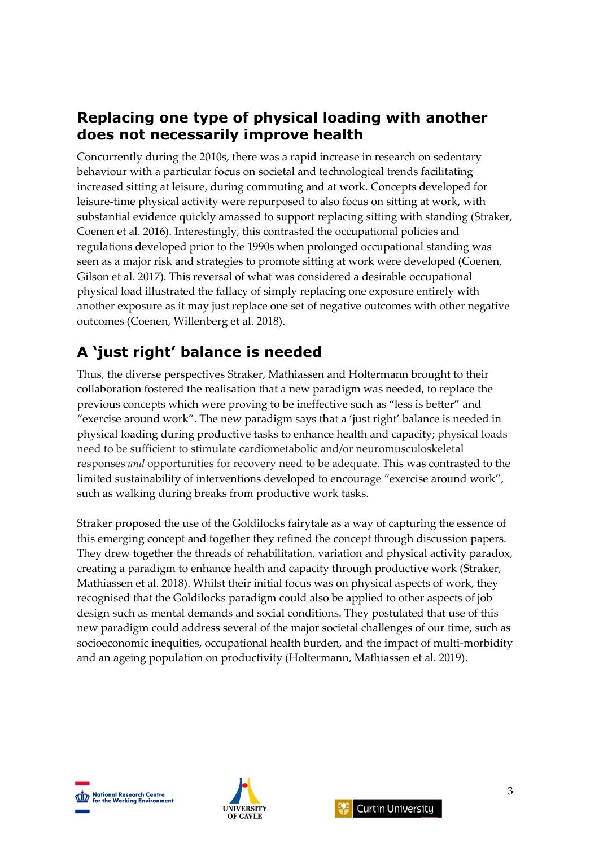#### **Replacing one type of physical loading with another does not necessarily improve health**

Concurrently during the 2010s, there was a rapid increase in research on sedentary behaviour with a particular focus on societal and technological trends facilitating increased sitting at leisure, during commuting and at work. Concepts developed for leisure-time physical activity were repurposed to also focus on sitting at work, with substantial evidence quickly amassed to support replacing sitting with standing (Straker, Coenen et al. 2016). Interestingly, this contrasted the occupational policies and regulations developed prior to the 1990s when prolonged occupational standing was seen as a major risk and strategies to promote sitting at work were developed (Coenen, Gilson et al. 2017). This reversal of what was considered a desirable occupational physical load illustrated the fallacy of simply replacing one exposure entirely with another exposure as it may just replace one set of negative outcomes with other negative outcomes (Coenen, Willenberg et al. 2018).

### **A 'just right' balance is needed**

Thus, the diverse perspectives Straker, Mathiassen and Holtermann brought to their collaboration fostered the realisation that a new paradigm was needed, to replace the previous concepts which were proving to be ineffective such as "less is better" and "exercise around work". The new paradigm says that a 'just right' balance is needed in physical loading during productive tasks to enhance health and capacity; physical loads need to be sufficient to stimulate cardiometabolic and/or neuromusculoskeletal responses *and* opportunities for recovery need to be adequate. This was contrasted to the limited sustainability of interventions developed to encourage "exercise around work", such as walking during breaks from productive work tasks.

Straker proposed the use of the Goldilocks fairytale as a way of capturing the essence of this emerging concept and together they refined the concept through discussion papers. They drew together the threads of rehabilitation, variation and physical activity paradox, creating a paradigm to enhance health and capacity through productive work (Straker, Mathiassen et al. 2018). Whilst their initial focus was on physical aspects of work, they recognised that the Goldilocks paradigm could also be applied to other aspects of job design such as mental demands and social conditions. They postulated that use of this new paradigm could address several of the major societal challenges of our time, such as socioeconomic inequities, occupational health burden, and the impact of multi-morbidity and an ageing population on productivity (Holtermann, Mathiassen et al. 2019).





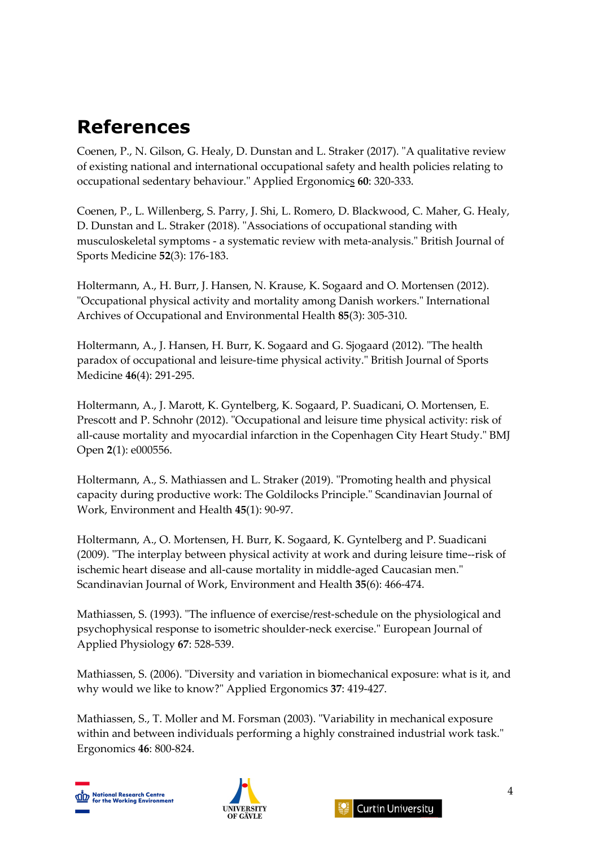## **References**

Coenen, P., N. Gilson, G. Healy, D. Dunstan and L. Straker (2017). "A qualitative review of existing national and international occupational safety and health policies relating to occupational sedentary behaviour." Applied Ergonomics **60**: 320-333.

Coenen, P., L. Willenberg, S. Parry, J. Shi, L. Romero, D. Blackwood, C. Maher, G. Healy, D. Dunstan and L. Straker (2018). "Associations of occupational standing with musculoskeletal symptoms - a systematic review with meta-analysis." British Journal of Sports Medicine **52**(3): 176-183.

Holtermann, A., H. Burr, J. Hansen, N. Krause, K. Sogaard and O. Mortensen (2012). "Occupational physical activity and mortality among Danish workers." International Archives of Occupational and Environmental Health **85**(3): 305-310.

Holtermann, A., J. Hansen, H. Burr, K. Sogaard and G. Sjogaard (2012). "The health paradox of occupational and leisure-time physical activity." British Journal of Sports Medicine **46**(4): 291-295.

Holtermann, A., J. Marott, K. Gyntelberg, K. Sogaard, P. Suadicani, O. Mortensen, E. Prescott and P. Schnohr (2012). "Occupational and leisure time physical activity: risk of all-cause mortality and myocardial infarction in the Copenhagen City Heart Study." BMJ Open **2**(1): e000556.

Holtermann, A., S. Mathiassen and L. Straker (2019). "Promoting health and physical capacity during productive work: The Goldilocks Principle." Scandinavian Journal of Work, Environment and Health **45**(1): 90-97.

Holtermann, A., O. Mortensen, H. Burr, K. Sogaard, K. Gyntelberg and P. Suadicani (2009). "The interplay between physical activity at work and during leisure time--risk of ischemic heart disease and all-cause mortality in middle-aged Caucasian men." Scandinavian Journal of Work, Environment and Health **35**(6): 466-474.

Mathiassen, S. (1993). "The influence of exercise/rest-schedule on the physiological and psychophysical response to isometric shoulder-neck exercise." European Journal of Applied Physiology **67**: 528-539.

Mathiassen, S. (2006). "Diversity and variation in biomechanical exposure: what is it, and why would we like to know?" Applied Ergonomics **37**: 419-427.

Mathiassen, S., T. Moller and M. Forsman (2003). "Variability in mechanical exposure within and between individuals performing a highly constrained industrial work task." Ergonomics **46**: 800-824.